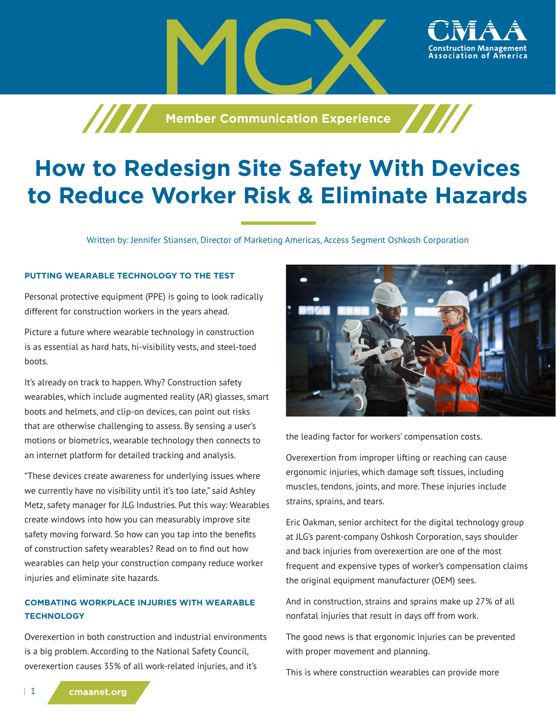

# **How to Redesign Site Safety With Devices to Reduce Worker Risk & Eliminate Hazards**

Written by: Jennifer Stiansen, Director of Marketing Americas, Access Segment Oshkosh Corporation

# **PUTTING WEARABLE TECHNOLOGY TO THE TEST**

Personal protective equipment (PPE) is going to look radically different for construction workers in the years ahead.

Picture a future where wearable technology in construction is as essential as hard hats, hi-visibility vests, and steel-toed boots.

It's already on track to happen. Why? Construction safety wearables, which include augmented reality (AR) glasses, smart boots and helmets, and clip-on devices, can point out risks that are otherwise challenging to assess. By sensing a user's motions or biometrics, wearable technology then connects to an internet platform for detailed tracking and analysis.

"These devices create awareness for underlying issues where we currently have no visibility until it's too late," said Ashley Metz, safety manager for JLG Industries. Put this way: Wearables create windows into how you can measurably improve site safety moving forward. So how can you tap into the benefits of construction safety wearables? Read on to find out how wearables can help your construction company reduce worker injuries and eliminate site hazards.

# **COMBATING WORKPLACE INJURIES WITH WEARABLE TECHNOLOGY**

Overexertion in both construction and industrial environments is a big problem. According to the National Safety Council, overexertion causes 35% of all work-related injuries, and it's



ssociation of

the leading factor for workers' compensation costs.

Overexertion from improper lifting or reaching can cause ergonomic injuries, which damage soft tissues, including muscles, tendons, joints, and more. These injuries include strains, sprains, and tears.

Eric Oakman, senior architect for the digital technology group at JLG's parent-company Oshkosh Corporation, says shoulder and back injuries from overexertion are one of the most frequent and expensive types of worker's compensation claims the original equipment manufacturer (OEM) sees.

And in construction, strains and sprains make up 27% of all nonfatal injuries that result in days off from work.

The good news is that ergonomic injuries can be prevented with proper movement and planning.

This is where construction wearables can provide more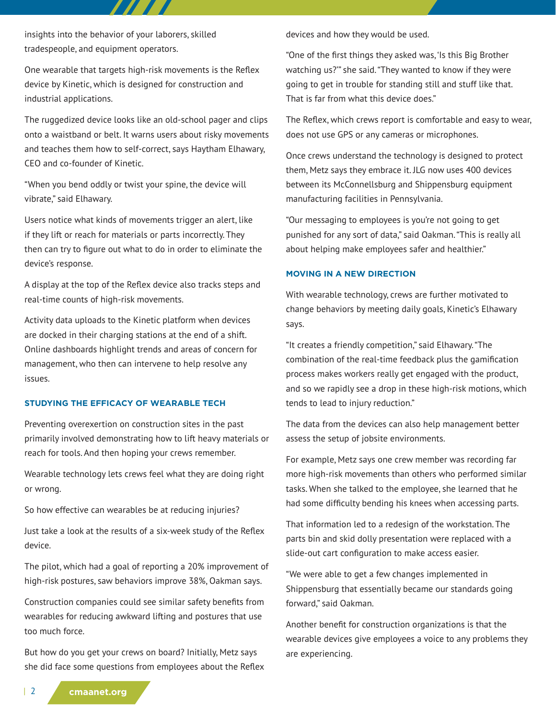insights into the behavior of your laborers, skilled tradespeople, and equipment operators.

One wearable that targets high-risk movements is the Reflex device by Kinetic, which is designed for construction and industrial applications.

The ruggedized device looks like an old-school pager and clips onto a waistband or belt. It warns users about risky movements and teaches them how to self-correct, says Haytham Elhawary, CEO and co-founder of Kinetic.

"When you bend oddly or twist your spine, the device will vibrate," said Elhawary.

Users notice what kinds of movements trigger an alert, like if they lift or reach for materials or parts incorrectly. They then can try to figure out what to do in order to eliminate the device's response.

A display at the top of the Reflex device also tracks steps and real-time counts of high-risk movements.

Activity data uploads to the Kinetic platform when devices are docked in their charging stations at the end of a shift. Online dashboards highlight trends and areas of concern for management, who then can intervene to help resolve any issues.

## **STUDYING THE EFFICACY OF WEARABLE TECH**

Preventing overexertion on construction sites in the past primarily involved demonstrating how to lift heavy materials or reach for tools. And then hoping your crews remember.

Wearable technology lets crews feel what they are doing right or wrong.

So how effective can wearables be at reducing injuries?

Just take a look at the results of a six-week study of the Reflex device.

The pilot, which had a goal of reporting a 20% improvement of high-risk postures, saw behaviors improve 38%, Oakman says.

Construction companies could see similar safety benefits from wearables for reducing awkward lifting and postures that use too much force.

But how do you get your crews on board? Initially, Metz says she did face some questions from employees about the Reflex devices and how they would be used.

"One of the first things they asked was, 'Is this Big Brother watching us?'" she said. "They wanted to know if they were going to get in trouble for standing still and stuff like that. That is far from what this device does."

The Reflex, which crews report is comfortable and easy to wear, does not use GPS or any cameras or microphones.

Once crews understand the technology is designed to protect them, Metz says they embrace it. JLG now uses 400 devices between its McConnellsburg and Shippensburg equipment manufacturing facilities in Pennsylvania.

"Our messaging to employees is you're not going to get punished for any sort of data," said Oakman. "This is really all about helping make employees safer and healthier."

#### **MOVING IN A NEW DIRECTION**

With wearable technology, crews are further motivated to change behaviors by meeting daily goals, Kinetic's Elhawary says.

"It creates a friendly competition," said Elhawary. "The combination of the real-time feedback plus the gamification process makes workers really get engaged with the product, and so we rapidly see a drop in these high-risk motions, which tends to lead to injury reduction."

The data from the devices can also help management better assess the setup of jobsite environments.

For example, Metz says one crew member was recording far more high-risk movements than others who performed similar tasks. When she talked to the employee, she learned that he had some difficulty bending his knees when accessing parts.

That information led to a redesign of the workstation. The parts bin and skid dolly presentation were replaced with a slide-out cart configuration to make access easier.

"We were able to get a few changes implemented in Shippensburg that essentially became our standards going forward," said Oakman.

Another benefit for construction organizations is that the wearable devices give employees a voice to any problems they are experiencing.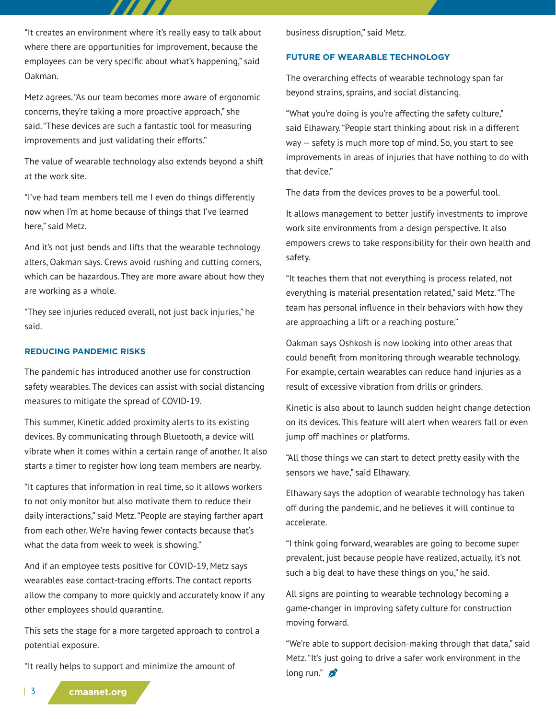"It creates an environment where it's really easy to talk about where there are opportunities for improvement, because the employees can be very specific about what's happening," said Oakman.

Metz agrees. "As our team becomes more aware of ergonomic concerns, they're taking a more proactive approach," she said. "These devices are such a fantastic tool for measuring improvements and just validating their efforts."

The value of wearable technology also extends beyond a shift at the work site.

"I've had team members tell me I even do things differently now when I'm at home because of things that I've learned here," said Metz.

And it's not just bends and lifts that the wearable technology alters, Oakman says. Crews avoid rushing and cutting corners, which can be hazardous. They are more aware about how they are working as a whole.

"They see injuries reduced overall, not just back injuries," he said.

#### **REDUCING PANDEMIC RISKS**

The pandemic has introduced another use for construction safety wearables. The devices can assist with social distancing measures to mitigate the spread of COVID-19.

This summer, Kinetic added proximity alerts to its existing devices. By communicating through Bluetooth, a device will vibrate when it comes within a certain range of another. It also starts a timer to register how long team members are nearby.

"It captures that information in real time, so it allows workers to not only monitor but also motivate them to reduce their daily interactions," said Metz. "People are staying farther apart from each other. We're having fewer contacts because that's what the data from week to week is showing."

And if an employee tests positive for COVID-19, Metz says wearables ease contact-tracing efforts. The contact reports allow the company to more quickly and accurately know if any other employees should quarantine.

This sets the stage for a more targeted approach to control a potential exposure.

"It really helps to support and minimize the amount of

business disruption," said Metz.

## **FUTURE OF WEARABLE TECHNOLOGY**

The overarching effects of wearable technology span far beyond strains, sprains, and social distancing.

"What you're doing is you're affecting the safety culture," said Elhawary. "People start thinking about risk in a different way — safety is much more top of mind. So, you start to see improvements in areas of injuries that have nothing to do with that device."

The data from the devices proves to be a powerful tool.

It allows management to better justify investments to improve work site environments from a design perspective. It also empowers crews to take responsibility for their own health and safety.

"It teaches them that not everything is process related, not everything is material presentation related," said Metz. "The team has personal influence in their behaviors with how they are approaching a lift or a reaching posture."

Oakman says Oshkosh is now looking into other areas that could benefit from monitoring through wearable technology. For example, certain wearables can reduce hand injuries as a result of excessive vibration from drills or grinders.

Kinetic is also about to launch sudden height change detection on its devices. This feature will alert when wearers fall or even jump off machines or platforms.

"All those things we can start to detect pretty easily with the sensors we have," said Elhawary.

Elhawary says the adoption of wearable technology has taken off during the pandemic, and he believes it will continue to accelerate.

"I think going forward, wearables are going to become super prevalent, just because people have realized, actually, it's not such a big deal to have these things on you," he said.

All signs are pointing to wearable technology becoming a game-changer in improving safety culture for construction moving forward.

"We're able to support decision-making through that data," said Metz. "It's just going to drive a safer work environment in the long run." $\mathcal{D}$ 

| 3 **cmaanet.org**